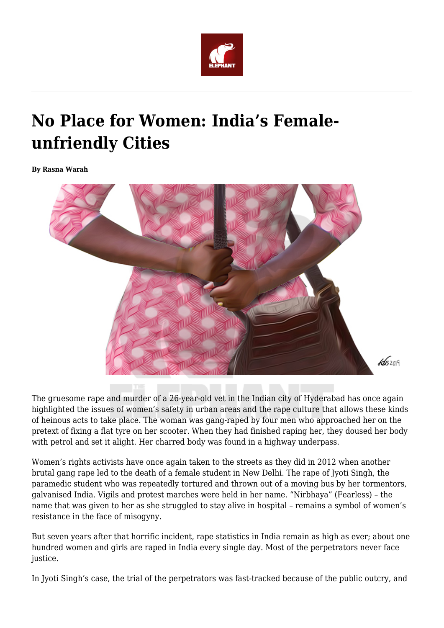

## **No Place for Women: India's Femaleunfriendly Cities**

**By Rasna Warah**



The gruesome rape and murder of a 26-year-old vet in the Indian city of Hyderabad has once again highlighted the issues of women's safety in urban areas and the rape culture that allows these kinds of heinous acts to take place. The woman was gang-raped by four men who approached her on the pretext of fixing a flat tyre on her scooter. When they had finished raping her, they doused her body with petrol and set it alight. Her charred body was found in a highway underpass.

Women's rights activists have once again taken to the streets as they did in 2012 when another brutal gang rape led to the death of a female student in New Delhi. The rape of Jyoti Singh, the paramedic student who was repeatedly tortured and thrown out of a moving bus by her tormentors, galvanised India. Vigils and protest marches were held in her name. "Nirbhaya" (Fearless) – the name that was given to her as she struggled to stay alive in hospital – remains a symbol of women's resistance in the face of misogyny.

But seven years after that horrific incident, rape statistics in India remain as high as ever; about one hundred women and girls are raped in India every single day. Most of the perpetrators never face justice.

In Jyoti Singh's case, the trial of the perpetrators was fast-tracked because of the public outcry, and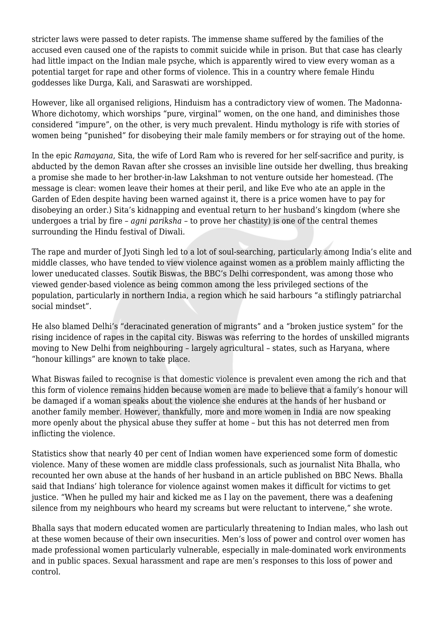stricter laws were passed to deter rapists. The immense shame suffered by the families of the accused even caused one of the rapists to commit suicide while in prison. But that case has clearly had little impact on the Indian male psyche, which is apparently wired to view every woman as a potential target for rape and other forms of violence. This in a country where female Hindu goddesses like Durga, Kali, and Saraswati are worshipped.

However, like all organised religions, Hinduism has a contradictory view of women. The Madonna-Whore dichotomy, which worships "pure, virginal" women, on the one hand, and diminishes those considered "impure", on the other, is very much prevalent. Hindu mythology is rife with stories of women being "punished" for disobeying their male family members or for straying out of the home.

In the epic *Ramayana*, Sita, the wife of Lord Ram who is revered for her self-sacrifice and purity, is abducted by the demon Ravan after she crosses an invisible line outside her dwelling, thus breaking a promise she made to her brother-in-law Lakshman to not venture outside her homestead. (The message is clear: women leave their homes at their peril, and like Eve who ate an apple in the Garden of Eden despite having been warned against it, there is a price women have to pay for disobeying an order.) Sita's kidnapping and eventual return to her husband's kingdom (where she undergoes a trial by fire – *agni pariksha* – to prove her chastity) is one of the central themes surrounding the Hindu festival of Diwali.

The rape and murder of Jyoti Singh led to a lot of soul-searching, particularly among India's elite and middle classes, who have tended to view violence against women as a problem mainly afflicting the lower uneducated classes. Soutik Biswas, the BBC's Delhi correspondent, was among those who viewed gender-based violence as being common among the less privileged sections of the population, particularly in northern India, a region which he said harbours "a stiflingly patriarchal social mindset".

He also blamed Delhi's "deracinated generation of migrants" and a "broken justice system" for the rising incidence of rapes in the capital city. Biswas was referring to the hordes of unskilled migrants moving to New Delhi from neighbouring – largely agricultural – states, such as Haryana, where "honour killings" are known to take place.

What Biswas failed to recognise is that domestic violence is prevalent even among the rich and that this form of violence remains hidden because women are made to believe that a family's honour will be damaged if a woman speaks about the violence she endures at the hands of her husband or another family member. However, thankfully, more and more women in India are now speaking more openly about the physical abuse they suffer at home – but this has not deterred men from inflicting the violence.

Statistics show that nearly 40 per cent of Indian women have experienced some form of domestic violence. Many of these women are middle class professionals, such as journalist Nita Bhalla, who recounted her own abuse at the hands of her husband in an article published on BBC News. Bhalla said that Indians' high tolerance for violence against women makes it difficult for victims to get justice. "When he pulled my hair and kicked me as I lay on the pavement, there was a deafening silence from my neighbours who heard my screams but were reluctant to intervene," she wrote.

Bhalla says that modern educated women are particularly threatening to Indian males, who lash out at these women because of their own insecurities. Men's loss of power and control over women has made professional women particularly vulnerable, especially in male-dominated work environments and in public spaces. Sexual harassment and rape are men's responses to this loss of power and control.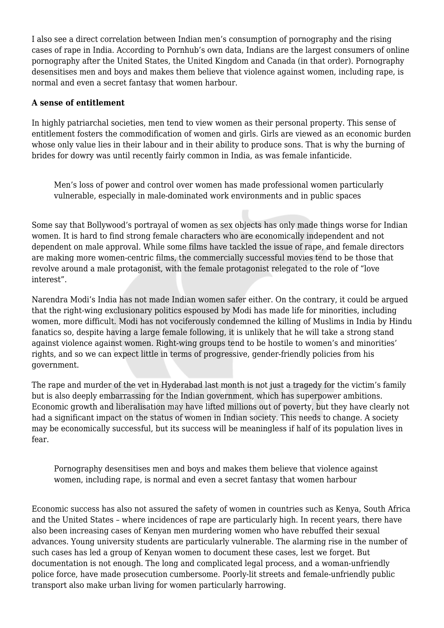I also see a direct correlation between Indian men's consumption of pornography and the rising cases of rape in India. According to Pornhub's own data, Indians are the largest consumers of online pornography after the United States, the United Kingdom and Canada (in that order). Pornography desensitises men and boys and makes them believe that violence against women, including rape, is normal and even a secret fantasy that women harbour.

## **A sense of entitlement**

In highly patriarchal societies, men tend to view women as their personal property. This sense of entitlement fosters the commodification of women and girls. Girls are viewed as an economic burden whose only value lies in their labour and in their ability to produce sons. That is why the burning of brides for dowry was until recently fairly common in India, as was female infanticide.

Men's loss of power and control over women has made professional women particularly vulnerable, especially in male-dominated work environments and in public spaces

Some say that Bollywood's portrayal of women as sex objects has only made things worse for Indian women. It is hard to find strong female characters who are economically independent and not dependent on male approval. While some films have tackled the issue of rape, and female directors are making more women-centric films, the commercially successful movies tend to be those that revolve around a male protagonist, with the female protagonist relegated to the role of "love interest".

Narendra Modi's India has not made Indian women safer either. On the contrary, it could be argued that the right-wing exclusionary politics espoused by Modi has made life for minorities, including women, more difficult. Modi has not vociferously condemned the killing of Muslims in India by Hindu fanatics so, despite having a large female following, it is unlikely that he will take a strong stand against violence against women. Right-wing groups tend to be hostile to women's and minorities' rights, and so we can expect little in terms of progressive, gender-friendly policies from his government.

The rape and murder of the vet in Hyderabad last month is not just a tragedy for the victim's family but is also deeply embarrassing for the Indian government, which has superpower ambitions. Economic growth and liberalisation may have lifted millions out of poverty, but they have clearly not had a significant impact on the status of women in Indian society. This needs to change. A society may be economically successful, but its success will be meaningless if half of its population lives in fear.

Pornography desensitises men and boys and makes them believe that violence against women, including rape, is normal and even a secret fantasy that women harbour

Economic success has also not assured the safety of women in countries such as Kenya, South Africa and the United States – where incidences of rape are particularly high. In recent years, there have also been increasing cases of Kenyan men murdering women who have rebuffed their sexual advances. Young university students are particularly vulnerable. The alarming rise in the number of such cases has led a group of Kenyan women to document these cases, lest we forget. But documentation is not enough. The long and complicated legal process, and a woman-unfriendly police force, have made prosecution cumbersome. Poorly-lit streets and female-unfriendly public transport also make urban living for women particularly harrowing.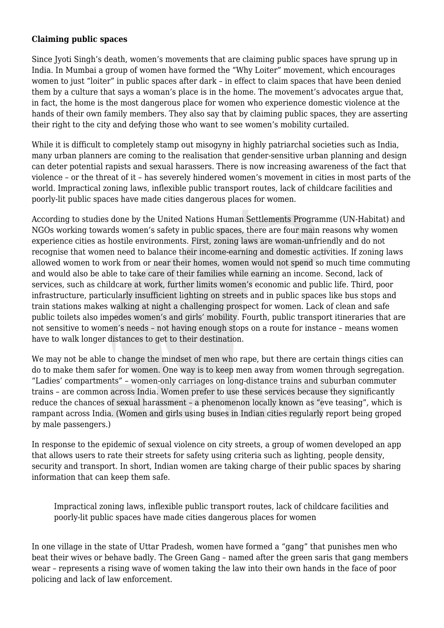## **Claiming public spaces**

Since Jyoti Singh's death, women's movements that are claiming public spaces have sprung up in India. In Mumbai a group of women have formed the "Why Loiter" movement, which encourages women to just "loiter" in public spaces after dark – in effect to claim spaces that have been denied them by a culture that says a woman's place is in the home. The movement's advocates argue that, in fact, the home is the most dangerous place for women who experience domestic violence at the hands of their own family members. They also say that by claiming public spaces, they are asserting their right to the city and defying those who want to see women's mobility curtailed.

While it is difficult to completely stamp out misogyny in highly patriarchal societies such as India, many urban planners are coming to the realisation that gender-sensitive urban planning and design can deter potential rapists and sexual harassers. There is now increasing awareness of the fact that violence – or the threat of it – has severely hindered women's movement in cities in most parts of the world. Impractical zoning laws, inflexible public transport routes, lack of childcare facilities and poorly-lit public spaces have made cities dangerous places for women.

According to studies done by the United Nations Human Settlements Programme (UN-Habitat) and NGOs working towards women's safety in public spaces, there are four main reasons why women experience cities as hostile environments. First, zoning laws are woman-unfriendly and do not recognise that women need to balance their income-earning and domestic activities. If zoning laws allowed women to work from or near their homes, women would not spend so much time commuting and would also be able to take care of their families while earning an income. Second, lack of services, such as childcare at work, further limits women's economic and public life. Third, poor infrastructure, particularly insufficient lighting on streets and in public spaces like bus stops and train stations makes walking at night a challenging prospect for women. Lack of clean and safe public toilets also impedes women's and girls' mobility. Fourth, public transport itineraries that are not sensitive to women's needs – not having enough stops on a route for instance – means women have to walk longer distances to get to their destination.

We may not be able to change the mindset of men who rape, but there are certain things cities can do to make them safer for women. One way is to keep men away from women through segregation. "Ladies' compartments" – women-only carriages on long-distance trains and suburban commuter trains – are common across India. Women prefer to use these services because they significantly reduce the chances of sexual harassment – a phenomenon locally known as "eve teasing", which is rampant across India. (Women and girls using buses in Indian cities regularly report being groped by male passengers.)

In response to the epidemic of sexual violence on city streets, a group of women developed an app that allows users to rate their streets for safety using criteria such as lighting, people density, security and transport. In short, Indian women are taking charge of their public spaces by sharing information that can keep them safe.

Impractical zoning laws, inflexible public transport routes, lack of childcare facilities and poorly-lit public spaces have made cities dangerous places for women

In one village in the state of Uttar Pradesh, women have formed a "gang" that punishes men who beat their wives or behave badly. The Green Gang – named after the green saris that gang members wear – represents a rising wave of women taking the law into their own hands in the face of poor policing and lack of law enforcement.